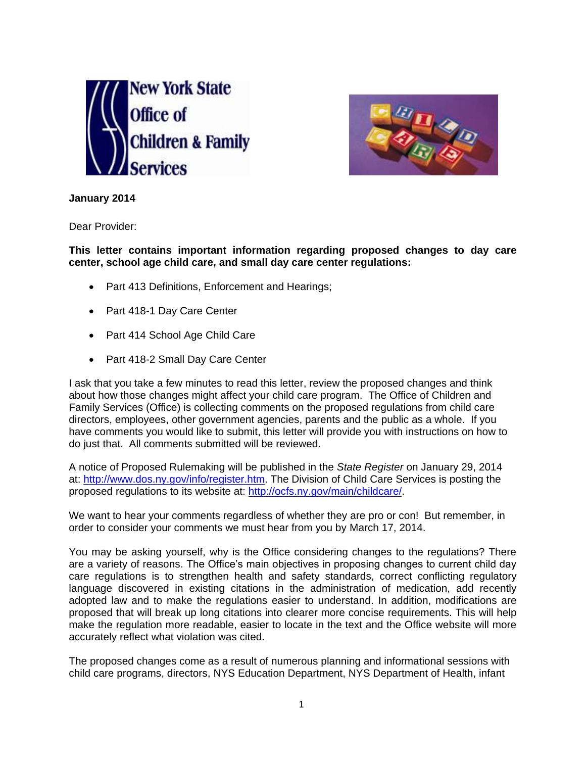



**January 2014**

Dear Provider:

**This letter contains important information regarding proposed changes to day care center, school age child care, and small day care center regulations:**

- Part 413 Definitions, Enforcement and Hearings;
- Part 418-1 Day Care Center
- Part 414 School Age Child Care
- Part 418-2 Small Day Care Center

I ask that you take a few minutes to read this letter, review the proposed changes and think about how those changes might affect your child care program. The Office of Children and Family Services (Office) is collecting comments on the proposed regulations from child care directors, employees, other government agencies, parents and the public as a whole. If you have comments you would like to submit, this letter will provide you with instructions on how to do just that. All comments submitted will be reviewed.

A notice of Proposed Rulemaking will be published in the *State Register* on January 29, 2014 at: [http://www.dos.ny.gov/info/register.htm.](http://www.dos.ny.gov/info/register.htm) The Division of Child Care Services is posting the proposed regulations to its website at: [http://ocfs.ny.gov/main/childcare/.](http://ocfs.ny.gov/main/childcare/)

We want to hear your comments regardless of whether they are pro or con! But remember, in order to consider your comments we must hear from you by March 17, 2014.

You may be asking yourself, why is the Office considering changes to the regulations? There are a variety of reasons. The Office's main objectives in proposing changes to current child day care regulations is to strengthen health and safety standards, correct conflicting regulatory language discovered in existing citations in the administration of medication, add recently adopted law and to make the regulations easier to understand. In addition, modifications are proposed that will break up long citations into clearer more concise requirements. This will help make the regulation more readable, easier to locate in the text and the Office website will more accurately reflect what violation was cited.

The proposed changes come as a result of numerous planning and informational sessions with child care programs, directors, NYS Education Department, NYS Department of Health, infant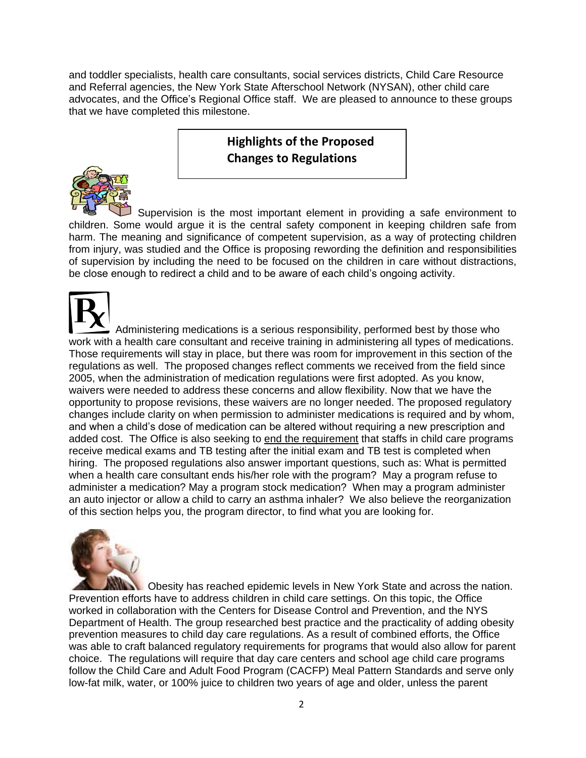and toddler specialists, health care consultants, social services districts, Child Care Resource and Referral agencies, the New York State Afterschool Network (NYSAN), other child care advocates, **a**nd the Office's Regional Office staff. We are pleased to announce to these groups that we have completed this milestone.

## **Highlights of the Proposed Changes to Regulations**



Supervision is the most important element in providing a safe environment to children. Some would argue it is the central safety component in keeping children safe from harm. The meaning and significance of competent supervision, as a way of protecting children from injury, was studied and the Office is proposing rewording the definition and responsibilities of supervision by including the need to be focused on the children in care without distractions, be close enough to redirect a child and to be aware of each child's ongoing activity.

 Administering medications is a serious responsibility, performed best by those who work with a health care consultant and receive training in administering all types of medications. Those requirements will stay in place, but there was room for improvement in this section of the regulations as well. The proposed changes reflect comments we received from the field since 2005, when the administration of medication regulations were first adopted. As you know, waivers were needed to address these concerns and allow flexibility. Now that we have the opportunity to propose revisions, these waivers are no longer needed. The proposed regulatory changes include clarity on when permission to administer medications is required and by whom, and when a child's dose of medication can be altered without requiring a new prescription and added cost. The Office is also seeking to end the requirement that staffs in child care programs receive medical exams and TB testing after the initial exam and TB test is completed when hiring. The proposed regulations also answer important questions, such as: What is permitted when a health care consultant ends his/her role with the program? May a program refuse to administer a medication? May a program stock medication? When may a program administer an auto injector or allow a child to carry an asthma inhaler? We also believe the reorganization of this section helps you, the program director, to find what you are looking for.



Obesity has reached epidemic levels in New York State and across the nation. Prevention efforts have to address children in child care settings. On this topic, the Office worked in collaboration with the Centers for Disease Control and Prevention, and the NYS Department of Health. The group researched best practice and the practicality of adding obesity prevention measures to child day care regulations. As a result of combined efforts, the Office was able to craft balanced regulatory requirements for programs that would also allow for parent choice. The regulations will require that day care centers and school age child care programs follow the Child Care and Adult Food Program (CACFP) Meal Pattern Standards and serve only low-fat milk, water, or 100% juice to children two years of age and older, unless the parent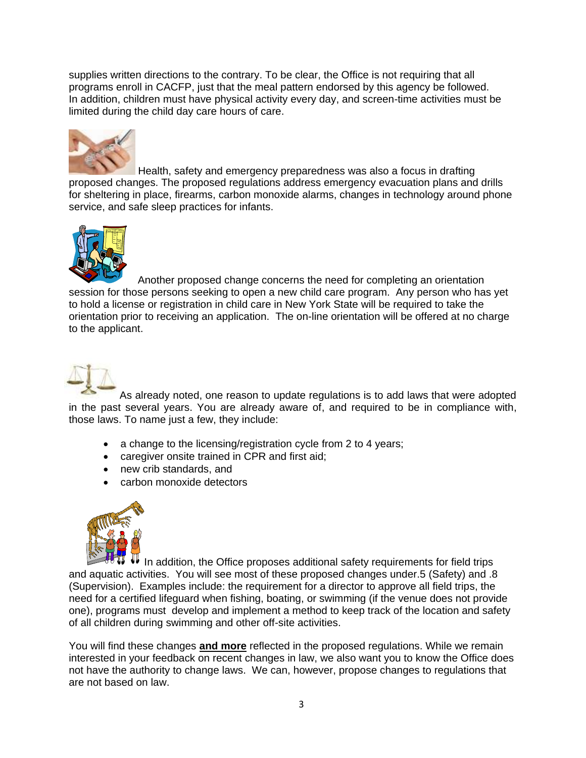supplies written directions to the contrary. To be clear, the Office is not requiring that all programs enroll in CACFP, just that the meal pattern endorsed by this agency be followed. In addition, children must have physical activity every day, and screen-time activities must be limited during the child day care hours of care.



Health, safety and emergency preparedness was also a focus in drafting proposed changes. The proposed regulations address emergency evacuation plans and drills for sheltering in place, firearms, carbon monoxide alarms, changes in technology around phone service, and safe sleep practices for infants.



Another proposed change concerns the need for completing an orientation session for those persons seeking to open a new child care program. Any person who has yet to hold a license or registration in child care in New York State will be required to take the orientation prior to receiving an application. The on-line orientation will be offered at no charge to the applicant.



As already noted, one reason to update regulations is to add laws that were adopted in the past several years. You are already aware of, and required to be in compliance with, those laws. To name just a few, they include:

- a change to the licensing/registration cycle from 2 to 4 years;
- caregiver onsite trained in CPR and first aid;
- new crib standards, and
- carbon monoxide detectors



In addition, the Office proposes additional safety requirements for field trips and aquatic activities. You will see most of these proposed changes under.5 (Safety) and .8 (Supervision). Examples include: the requirement for a director to approve all field trips, the need for a certified lifeguard when fishing, boating, or swimming (if the venue does not provide one), programs must develop and implement a method to keep track of the location and safety of all children during swimming and other off-site activities.

You will find these changes **and more** reflected in the proposed regulations. While we remain interested in your feedback on recent changes in law, we also want you to know the Office does not have the authority to change laws. We can, however, propose changes to regulations that are not based on law.